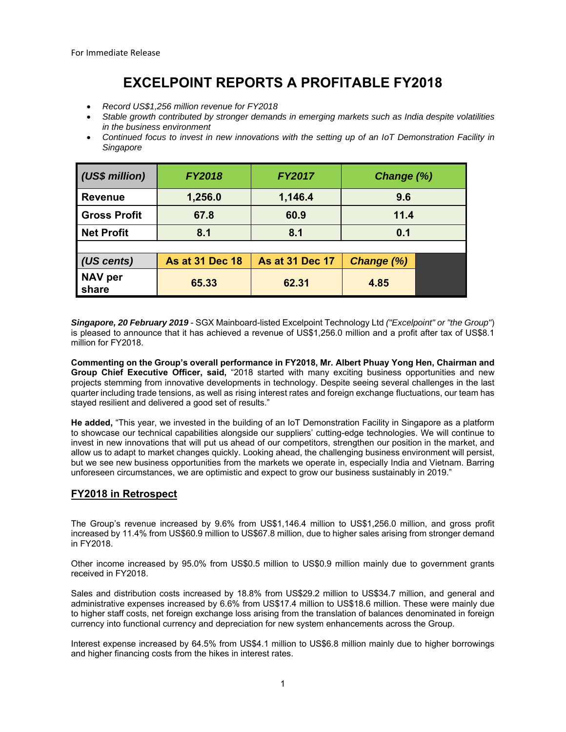## **EXCELPOINT REPORTS A PROFITABLE FY2018**

- *Record US\$1,256 million revenue for FY2018*
- *Stable growth contributed by stronger demands in emerging markets such as India despite volatilities in the business environment*
- *Continued focus to invest in new innovations with the setting up of an IoT Demonstration Facility in Singapore*

| (US\$ million)          | <b>FY2018</b>          | <b>FY2017</b>          | Change (%)        |  |
|-------------------------|------------------------|------------------------|-------------------|--|
| <b>Revenue</b>          | 1,256.0                | 1,146.4                | 9.6               |  |
| <b>Gross Profit</b>     | 67.8                   | 60.9                   | 11.4              |  |
| <b>Net Profit</b>       | 8.1                    | 8.1                    | 0.1               |  |
|                         |                        |                        |                   |  |
| (US cents)              | <b>As at 31 Dec 18</b> | <b>As at 31 Dec 17</b> | <b>Change (%)</b> |  |
| <b>NAV per</b><br>share | 65.33                  | 62.31                  | 4.85              |  |

*Singapore, 20 February 2019* - SGX Mainboard-listed Excelpoint Technology Ltd *("Excelpoint" or "the Group"*) is pleased to announce that it has achieved a revenue of US\$1,256.0 million and a profit after tax of US\$8.1 million for FY2018.

**Commenting on the Group's overall performance in FY2018, Mr. Albert Phuay Yong Hen, Chairman and Group Chief Executive Officer, said,** "2018 started with many exciting business opportunities and new projects stemming from innovative developments in technology. Despite seeing several challenges in the last quarter including trade tensions, as well as rising interest rates and foreign exchange fluctuations, our team has stayed resilient and delivered a good set of results."

**He added,** "This year, we invested in the building of an IoT Demonstration Facility in Singapore as a platform to showcase our technical capabilities alongside our suppliers' cutting-edge technologies. We will continue to invest in new innovations that will put us ahead of our competitors, strengthen our position in the market, and allow us to adapt to market changes quickly. Looking ahead, the challenging business environment will persist, but we see new business opportunities from the markets we operate in, especially India and Vietnam. Barring unforeseen circumstances, we are optimistic and expect to grow our business sustainably in 2019."

## **FY2018 in Retrospect**

The Group's revenue increased by 9.6% from US\$1,146.4 million to US\$1,256.0 million, and gross profit increased by 11.4% from US\$60.9 million to US\$67.8 million, due to higher sales arising from stronger demand in FY2018.

Other income increased by 95.0% from US\$0.5 million to US\$0.9 million mainly due to government grants received in FY2018.

Sales and distribution costs increased by 18.8% from US\$29.2 million to US\$34.7 million, and general and administrative expenses increased by 6.6% from US\$17.4 million to US\$18.6 million. These were mainly due to higher staff costs, net foreign exchange loss arising from the translation of balances denominated in foreign currency into functional currency and depreciation for new system enhancements across the Group.

Interest expense increased by 64.5% from US\$4.1 million to US\$6.8 million mainly due to higher borrowings and higher financing costs from the hikes in interest rates.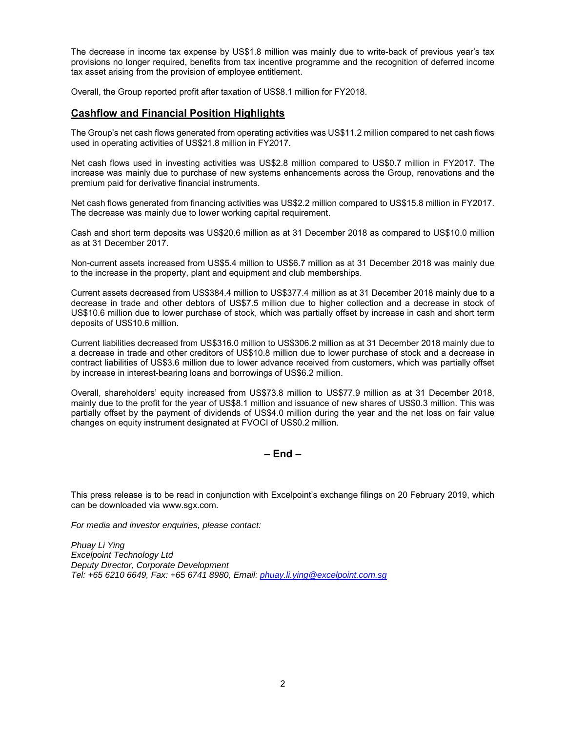The decrease in income tax expense by US\$1.8 million was mainly due to write-back of previous year's tax provisions no longer required, benefits from tax incentive programme and the recognition of deferred income tax asset arising from the provision of employee entitlement.

Overall, the Group reported profit after taxation of US\$8.1 million for FY2018.

## **Cashflow and Financial Position Highlights**

The Group's net cash flows generated from operating activities was US\$11.2 million compared to net cash flows used in operating activities of US\$21.8 million in FY2017.

Net cash flows used in investing activities was US\$2.8 million compared to US\$0.7 million in FY2017. The increase was mainly due to purchase of new systems enhancements across the Group, renovations and the premium paid for derivative financial instruments.

Net cash flows generated from financing activities was US\$2.2 million compared to US\$15.8 million in FY2017. The decrease was mainly due to lower working capital requirement.

Cash and short term deposits was US\$20.6 million as at 31 December 2018 as compared to US\$10.0 million as at 31 December 2017.

Non-current assets increased from US\$5.4 million to US\$6.7 million as at 31 December 2018 was mainly due to the increase in the property, plant and equipment and club memberships.

Current assets decreased from US\$384.4 million to US\$377.4 million as at 31 December 2018 mainly due to a decrease in trade and other debtors of US\$7.5 million due to higher collection and a decrease in stock of US\$10.6 million due to lower purchase of stock, which was partially offset by increase in cash and short term deposits of US\$10.6 million.

Current liabilities decreased from US\$316.0 million to US\$306.2 million as at 31 December 2018 mainly due to a decrease in trade and other creditors of US\$10.8 million due to lower purchase of stock and a decrease in contract liabilities of US\$3.6 million due to lower advance received from customers, which was partially offset by increase in interest-bearing loans and borrowings of US\$6.2 million.

Overall, shareholders' equity increased from US\$73.8 million to US\$77.9 million as at 31 December 2018, mainly due to the profit for the year of US\$8.1 million and issuance of new shares of US\$0.3 million. This was partially offset by the payment of dividends of US\$4.0 million during the year and the net loss on fair value changes on equity instrument designated at FVOCI of US\$0.2 million.

**– End –** 

This press release is to be read in conjunction with Excelpoint's exchange filings on 20 February 2019, which can be downloaded via www.sgx.com.

*For media and investor enquiries, please contact:* 

*Phuay Li Ying Excelpoint Technology Ltd Deputy Director, Corporate Development Tel: +65 6210 6649, Fax: +65 6741 8980, Email: phuay.li.ying@excelpoint.com.sg*